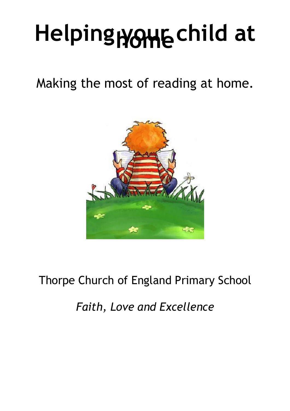# Helping woun child at

# Making the most of reading at home.



# Thorpe Church of England Primary School

# *Faith, Love and Excellence*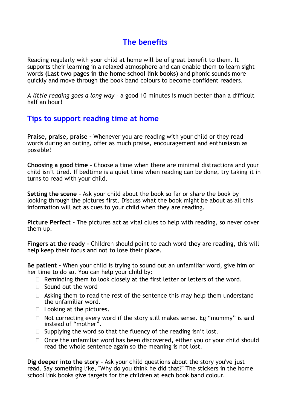## **The benefits**

Reading regularly with your child at home will be of great benefit to them. It supports their learning in a relaxed atmosphere and can enable them to learn sight words **(Last two pages in the home school link books)** and phonic sounds more quickly and move through the book band colours to become confident readers.

*A little reading goes a long way* – a good 10 minutes is much better than a difficult half an hour!

## **Tips to support reading time at home**

**Praise, praise, praise –** Whenever you are reading with your child or they read words during an outing, offer as much praise, encouragement and enthusiasm as possible!

**Choosing a good time –** Choose a time when there are minimal distractions and your child isn't tired. If bedtime is a quiet time when reading can be done, try taking it in turns to read with your child.

**Setting the scene –** Ask your child about the book so far or share the book by looking through the pictures first. Discuss what the book might be about as all this information will act as cues to your child when they are reading.

**Picture Perfect –** The pictures act as vital clues to help with reading, so never cover them up.

**Fingers at the ready –** Children should point to each word they are reading, this will help keep their focus and not to lose their place.

**Be patient -** When your child is trying to sound out an unfamiliar word, give him or her time to do so. You can help your child by:

- $\Box$  Reminding them to look closely at the first letter or letters of the word.
- $\Box$  Sound out the word
- $\Box$  Asking them to read the rest of the sentence this may help them understand the unfamiliar word.
- $\Box$  Looking at the pictures.
- $\Box$  Not correcting every word if the story still makes sense. Eg "mummy" is said instead of "mother".
- $\Box$  Supplying the word so that the fluency of the reading isn't lost.
- $\Box$  Once the unfamiliar word has been discovered, either you or your child should read the whole sentence again so the meaning is not lost.

**Dig deeper into the story -** Ask your child questions about the story you've just read. Say something like, "Why do you think he did that?" The stickers in the home school link books give targets for the children at each book band colour.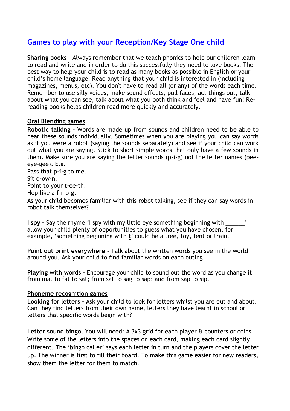## **Games to play with your Reception/Key Stage One child**

**Sharing books -** Always remember that we teach phonics to help our children learn to read and write and in order to do this successfully they need to love books! The best way to help your child is to read as many books as possible in English or your child's home language. Read anything that your child is interested in (including magazines, menus, etc). You don't have to read all (or any) of the words each time. Remember to use silly voices, make sound effects, pull faces, act things out, talk about what you can see, talk about what you both think and feel and have fun! Rereading books helps children read more quickly and accurately.

### **Oral Blending games**

**Robotic talking** - Words are made up from sounds and children need to be able to hear these sounds individually. Sometimes when you are playing you can say words as if you were a robot (saying the sounds separately) and see if your child can work out what you are saying. Stick to short simple words that only have a few sounds in them. Make sure you are saying the letter sounds (p-i-g) not the letter names (peeeye-gee). E.g.

Pass that p-i-g to me.

Sit d-ow-n.

Point to your t-ee-th.

Hop like a f-r-o-g.

As your child becomes familiar with this robot talking, see if they can say words in robot talk themselves?

**I spy -** Say the rhyme 'I spy with my little eye something beginning with allow your child plenty of opportunities to guess what you have chosen, for example, 'something beginning with **t**' could be a tree, toy, tent or train.

**Point out print everywhere -** Talk about the written words you see in the world around you. Ask your child to find familiar words on each outing.

**Playing with words –** Encourage your child to sound out the word as you change it from mat to fat to sat; from sat to sag to sap; and from sap to sip.

#### **Phoneme recognition games**

**Looking for letters –** Ask your child to look for letters whilst you are out and about. Can they find letters from their own name, letters they have learnt in school or letters that specific words begin with?

**Letter sound bingo.** You will need: A 3x3 grid for each player & counters or coins Write some of the letters into the spaces on each card, making each card slightly different. The 'bingo caller' says each letter in turn and the players cover the letter up. The winner is first to fill their board. To make this game easier for new readers, show them the letter for them to match.